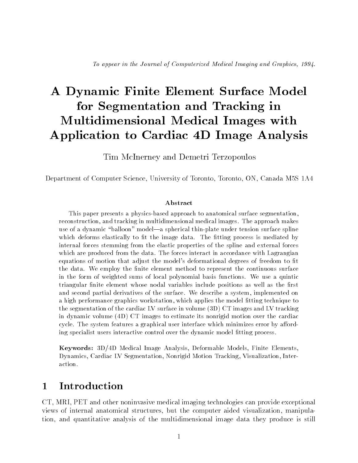# A Dynamic Finite Element Surface Model for Segmentation and Tracking in Multidimensional Medical Images with Application to Cardiac 4D Image Analysis

Tim McInerney and Demetri Terzopoulos

Department of Computer Science, University of Toronto, Toronto, ON, Canada M5S 1A4

This paper presents a physics-based approach to anatomical surface segmentation, reconstruction, and tracking in multidimensional medical images. The approach makes use of a dynamic "balloon" model—a spherical thin-plate under tension surface spline which deforms elastically to fit the image data. The fitting process is mediated by internal forces stemming from the elastic properties of the spline and external forces which are produced from the data. The forces interact in accordance with Lagrangian equations of motion that adjust the model's deformational degrees of freedom to fit the data. We employ the finite element method to represent the continuous surface in the form of weighted sums of local polynomial basis functions. We use a quintic triangular finite element whose nodal variables include positions as well as the first and second partial derivatives of the surface. We describe a system, implemented on a high performance graphics workstation, which applies the model fitting technique to the segmentation of the cardiac LV surface in volume (3D) CT images and LV tracking in dynamic volume (4D) CT images to estimate its nonrigid motion over the cardiac cycle. The system features a graphical user interface which minimizes error by affording specialist users interactive control over the dynamic model fitting process.

Keywords: 3D/4D Medical Image Analysis, Deformable Models, Finite Elements, Dynamics, Cardiac LV Segmentation, Nonrigid Motion Tracking, Visualization, Interaction.

#### $\mathbf{1}$ **Introduction**

CT, MRI, PET and other noninvasive medical imaging technologies can provide exceptional views of internal anatomical structures, but the computer aided visualization, manipulation, and quantitative analysis of the multidimensional image data they produce is still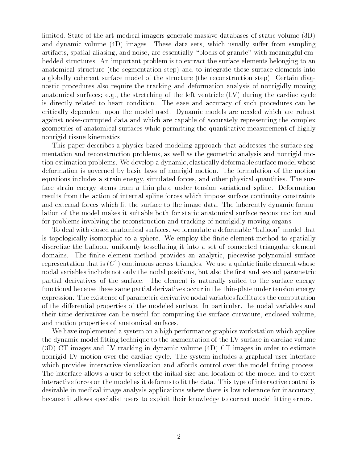limited. State-of-the-art medical imagers generate massive databases of static volume (3D) and dynamic volume  $(4D)$  images. These data sets, which usually suffer from sampling artifacts, spatial aliasing, and noise, are essentially \blocks of granite" with meaningful embedded structures. An important problem is to extract the surface elements belonging to an anatomical structure (the segmentation step) and to integrate these surface elements into a globally coherent surface model of the structure (the reconstruction step). Certain diagnostic procedures also require the tracking and deformation analysis of nonrigidly moving anatomical surfaces; e.g., the stretching of the left ventricle (LV) during the cardiac cycle is directly related to heart condition. The ease and accuracy of such procedures can be critically dependent upon the model used. Dynamic models are needed which are robust against noise-corrupted data and which are capable of accurately representing the complex geometries of anatomical surfaces while permitting the quantitative measurement of highly nonrigid tissue kinematics.

This paper describes a physics-based modeling approach that addresses the surface segmentation and reconstruction problems, as well as the geometric analysis and nonrigid motion estimation problems. We develop a dynamic, elastically deformable surface model whose deformation is governed by basic laws of nonrigid motion. The formulation of the motion equations includes a strain energy, simulated forces, and other physical quantities. The surface strain energy stems from a thin-plate under tension variational spline. Deformation results from the action of internal spline forces which impose surface continuity constraints and external forces which fit the surface to the image data. The inherently dynamic formulation of the model makes it suitable both for static anatomical surface reconstruction and for problems involving the reconstruction and tracking of nonrigidly moving organs.

To deal with closed anatomical surfaces, we formulate a deformable \balloon" model that is topologically isomorphic to a sphere. We employ the finite element method to spatially discretize the balloon, uniformly tessellating it into a set of connected triangular element domains. The finite element method provides an analytic, piecewise polynomial surface representation that is  $(C<sup>1</sup>)$  continuous across triangles. We use a quintic finite element whose nodal variables include not only the nodal positions, but also the first and second parametric partial derivatives of the surface. The element is naturally suited to the surface energy functional because these same partial derivatives occur in the thin-plate under tension energy expression. The existence of parametric derivative nodal variables facilitates the computation of the differential properties of the modeled surface. In particular, the nodal variables and their time derivatives can be useful for computing the surface curvature, enclosed volume, and motion properties of anatomical surfaces.

We have implemented a system on a high performance graphics workstation which applies the dynamic model fitting technique to the segmentation of the LV surface in cardiac volume (3D) CT images and LV tracking in dynamic volume (4D) CT images in order to estimate nonrigid LV motion over the cardiac cycle. The system includes a graphical user interface which provides interactive visualization and affords control over the model fitting process. The interface allows a user to select the initial size and location of the model and to exert interactive forces on the model as it deforms to fit the data. This type of interactive control is desirable in medical image analysis applications where there is low tolerance for inaccuracy, because it allows specialist users to exploit their knowledge to correct model fitting errors.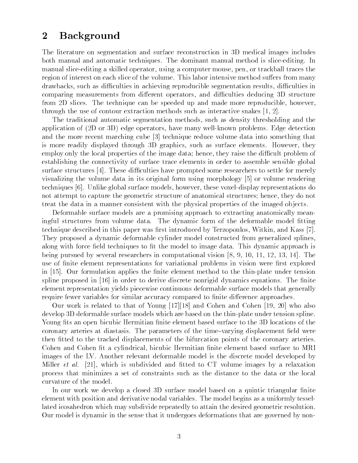#### **Background**  $\bf{2}$

The literature on segmentation and surface reconstruction in 3D medical images includes both manual and automatic techniques. The dominant manual method is slice-editing. In manual slice-editing a skilled operator, using a computer mouse, pen, or trackball traces the region of interest on each slice of the volume. This labor intensive method suffers from many drawbacks, such as difficulties in achieving reproducible segmentation results, difficulties in comparing measurements from different operators, and difficulties deducing 3D structure from 2D slices. The technique can be speeded up and made more reproducible, however, through the use of contour extraction methods such as interactive snakes [1, 2].

The traditional automatic segmentation methods, such as density thresholding and the application of (2D or 3D) edge operators, have many well-known problems. Edge detection and the more recent marching cube [3] technique reduce volume data into something that is more readily displayed through 3D graphics, such as surface elements. However, they employ only the local properties of the image data; hence, they raise the difficult problem of establishing the connectivity of surface trace elements in order to assemble sensible global surface structures  $[4]$ . These difficulties have prompted some researchers to settle for merely visualizing the volume data in its original form using morphology [5] or volume rendering techniques [6]. Unlike global surface models, however, these voxel-display representations do not attempt to capture the geometric structure of anatomical structures; hence, they do not treat the data in a manner consistent with the physical properties of the imaged objects.

Deformable surface models are a promising approach to extracting anatomically meaningful structures from volume data. The dynamic form of the deformable model fitting technique described in this paper was first introduced by Terzopoulos, Witkin, and Kass [7]. They proposed a dynamic deformable cylinder model constructed from generalized splines, along with force field techniques to fit the model to image data. This dynamic approach is being pursued by several researchers in computational vision [8, 9, 10, 11, 12, 13, 14]. The use of finite element representations for variational problems in vision were first explored in  $[15]$ . Our formulation applies the finite element method to the thin-plate under tension spline proposed in  $[16]$  in order to derive discrete nonrigid dynamics equations. The finite element representation yields piecewise continuous deformable surface models that generally require fewer variables for similar accuracy compared to finite difference approaches.

Our work is related to that of Young [17][18] and Cohen and Cohen [19, 20] who also develop 3D deformable surface models which are based on the thin-plate under tension spline. Young fits an open bicubic Hermitian finite element based surface to the 3D locations of the coronary arteries at diastasis. The parameters of the time-varying displacement field were then fitted to the tracked displacements of the bifurcation points of the coronary arteries. Cohen and Cohen fit a cylindrical, bicubic Hermitian finite element based surface to MRI images of the LV. Another relevant deformable model is the discrete model developed by Miller *et al.* [21], which is subdivided and fitted to CT volume images by a relaxation process that minimizes a set of constraints such as the distance to the data or the local curvature of the model.

In our work we develop a closed 3D surface model based on a quintic triangular finite element with position and derivative nodal variables. The model begins as a uniformly tessellated icosahedron which may subdivide repeatedly to attain the desired geometric resolution. Our model is dynamic in the sense that it undergoes deformations that are governed by non-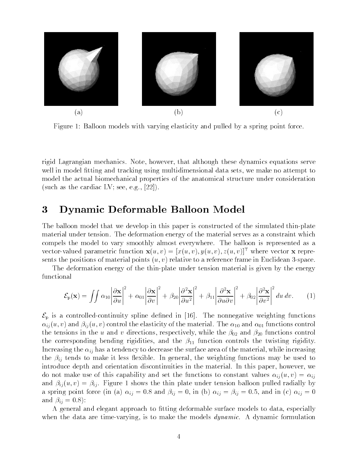

Figure 1: Balloon models with varying elasticity and pulled by a spring point force.

rigid Lagrangian mechanics. Note, however, that although these dynamics equations serve well in model fitting and tracking using multidimensional data sets, we make no attempt to model the actual biomechanical properties of the anatomical structure under consideration (such as the cardiac LV; see, e.g.,  $[22]$ ).

### 3 Dynamic Deformable Balloon Model

The balloon model that we develop in this paper is constructed of the simulated thin-plate material under tension. The deformation energy of the material serves as a constraint which compels the model to vary smoothly almost everywhere. The balloon is represented as a vector-valued parametric function  $\mathbf{x}(u, v)=[x(u, v), y(u, v), z(u, v)]^{\top}$  where vector x represents the positions of material points  $(u, v)$  relative to a reference frame in Euclidean 3-space.

The deformation energy of the thin-plate under tension material is given by the energy functional

$$
\mathcal{E}_{\mathbf{p}}(\mathbf{x}) = \iint \alpha_{10} \left| \frac{\partial \mathbf{x}}{\partial u} \right|^2 + \alpha_{01} \left| \frac{\partial \mathbf{x}}{\partial v} \right|^2 + \beta_{20} \left| \frac{\partial^2 \mathbf{x}}{\partial u^2} \right|^2 + \beta_{11} \left| \frac{\partial^2 \mathbf{x}}{\partial u \partial v} \right|^2 + \beta_{02} \left| \frac{\partial^2 \mathbf{x}}{\partial v^2} \right|^2 du \, dv. \tag{1}
$$

 $\mathcal{E}_p$  is a controlled-continuity spline defined in [16]. The nonnegative weighting functions  $\alpha_{ij}(u, v)$  and  $\beta_{ij}(u, v)$  control the elasticity of the material. The  $\alpha_{10}$  and  $\alpha_{01}$  functions control the tensions in the u and v directions, respectively, while the  $\beta_{02}$  and  $\beta_{20}$  functions control the corresponding bending rigidities, and the  $\beta_{11}$  function controls the twisting rigidity. Increasing the  $\alpha_{ij}$  has a tendency to decrease the surface area of the material, while increasing the  $\beta_{ij}$  tends to make it less flexible. In general, the weighting functions may be used to introduce depth and orientation discontinuities in the material. In this paper, however, we do not make use of this capability and set the functions to constant values  $\alpha_{ij} (u, v) = \alpha_{ij}$ and  $\beta_{ij}(u, v) = \beta_{ij}$ . Figure 1 shows the thin plate under tension balloon pulled radially by a spring point force (in (a)  $\alpha_{ij} = 0.8$  and  $\beta_{ij} = 0$ , in (b)  $\alpha_{ij} = \beta_{ij} = 0.5$ , and in (c)  $\alpha_{ij} = 0$ and  $\beta_{ij} = 0.8$ :

A general and elegant approach to fitting deformable surface models to data, especially when the data are time-varying, is to make the models *dynamic*. A dynamic formulation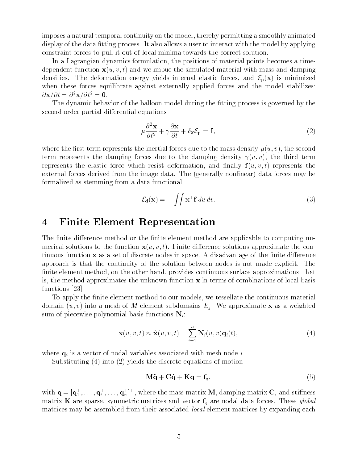imposes a natural temporal continuity on the model, thereby permitting a smoothly animated display of the data fitting process. It also allows a user to interact with the model by applying constraint forces to pull it out of local minima towards the correct solution.

In a Lagrangian dynamics formulation, the positions of material points becomes a timedependent function  $\mathbf{x}(u, v, t)$  and we imbue the simulated material with mass and damping densities. The deformation energy yields internal elastic forces, and  $\mathcal{E}_p(x)$  is minimized when these forces equilibrate against externally applied forces and the model stabilizes:  $\partial \mathbf{x}/\partial t = \partial^2 \mathbf{x}/\partial t^2 = \mathbf{0}.$ 

The dynamic behavior of the balloon model during the fitting process is governed by the second-order partial differential equations

$$
\mu \frac{\partial^2 \mathbf{x}}{\partial t^2} + \gamma \frac{\partial \mathbf{x}}{\partial t} + \delta_{\mathbf{x}} \mathcal{E}_{\mathbf{p}} = \mathbf{f},\tag{2}
$$

where the first term represents the inertial forces due to the mass density  $\mu(u, v)$ , the second term represents the damping forces due to the damping density  $\gamma(u, v)$ , the third term represents the elastic force which resist deformation, and finally  $f(u, v, t)$  represents the external forces derived from the image data. The (generally nonlinear) data forces may be formalized as stemming from a data functional

$$
\mathcal{E}_{d}(\mathbf{x}) = -\iint \mathbf{x}^{\top} \mathbf{f} \, du \, dv. \tag{3}
$$

#### 4 Finite Element Representation  $\overline{4}$

The finite difference method or the finite element method are applicable to computing numerical solutions to the function  $\mathbf{x}(u, v, t)$ . Finite difference solutions approximate the continuous function  $x$  as a set of discrete nodes in space. A disadvantage of the finite difference approach is that the continuity of the solution between nodes is not made explicit. The nite element method, on the other hand, provides continuous surface approximations; that is, the method approximates the unknown function  $x$  in terms of combinations of local basis functions [23].

To apply the finite element method to our models, we tessellate the continuous material domain  $(u, v)$  into a mesh of M element subdomains  $E_i$ . We approximate x as a weighted sum of piecewise polynomial basis functions  $N_i$ :

$$
\mathbf{x}(u, v, t) \approx \hat{\mathbf{x}}(u, v, t) = \sum_{i=1}^{n} \mathbf{N}_{i}(u, v) \mathbf{q}_{i}(t),
$$
\n(4)

where  $\mathbf{q}_i$  is a vector of nodal variables associated with mesh node i.

Substituting (4) into (2) yields the discrete equations of motion

$$
\mathbf{M}\ddot{\mathbf{q}} + \mathbf{C}\dot{\mathbf{q}} + \mathbf{K}\mathbf{q} = \mathbf{f}_q,\tag{5}
$$

with  ${\bf q} = [{\bf q}_1^1,\ldots, {\bf q}_i^r,\ldots, {\bf q}_n^r]$  , where the mass matrix  ${\bf w}$ , damping matrix  ${\bf \bf C}$ , and stinness matrix **K** are sparse, symmetric matrices and vector  $f_q$  are nodal data forces. These global matrices may be assembled from their associated *local* element matrices by expanding each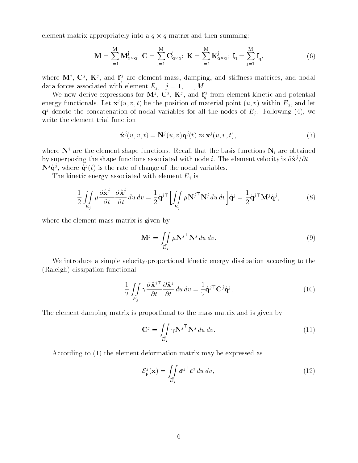element matrix appropriately into a <sup>q</sup> - <sup>q</sup> matrix and then summing:

$$
\mathbf{M} = \sum_{j=1}^{M} \mathbf{M}_{q \times q}^{j}; \ \mathbf{C} = \sum_{j=1}^{M} \mathbf{C}_{q \times q}^{j}; \ \mathbf{K} = \sum_{j=1}^{M} \mathbf{K}_{q \times q}^{j}; \ \mathbf{f}_{q} = \sum_{j=1}^{M} \mathbf{f}_{q}^{j}, \tag{6}
$$

where  $\mathbf{M}^j$ ,  $\mathbf{C}^j$ ,  $\mathbf{\Lambda}^j$ , and  $\mathbf{I}^j_q$  are element mass, damping, and stinness matrices, and nodal data forces associated with element  $E_j$ ,  $j = 1, \ldots, M$ .

We now derive expressions for  $\mathbf{M}^{\prime}$ ,  $\mathbf{C}^{\prime}$ ,  $\mathbf{\Lambda}^{\prime}$ , and  $\mathbf{I}^{\prime}_{s}$  from element kinetic and potential energy functionals. Let  $\mathbf{x}^{j} (u, v, t)$  be the position of material point  $(u, v)$  within  $E_j$ , and let  $q^{j}$  denote the concatenation of nodal variables for all the nodes of  $E_{j}$ . Following (4), we write the element trial function

$$
\hat{\mathbf{x}}^{j}(u,v,t) = \mathbf{N}^{j}(u,v)\mathbf{q}^{j}(t) \approx \mathbf{x}^{j}(u,v,t),\tag{7}
$$

where  $N<sup>j</sup>$  are the element shape functions. Recall that the basis functions  $N<sub>i</sub>$  are obtained by superposing the shape functions associated with node i. The element velocity is  $\frac{\partial \hat{\mathbf{x}}^j}{\partial t} =$  $\mathbf{N}^s\mathbf{q}^s$ , where  $\mathbf{q}^s(t)$  is the rate of change of the nodal variables.

The kinetic energy associated with element  $E_j$  is

$$
\frac{1}{2} \iint_{E_j} \mu \frac{\partial \hat{\mathbf{x}}^j}{\partial t} \frac{\partial \hat{\mathbf{x}}^j}{\partial t} du dv = \frac{1}{2} \dot{\mathbf{q}}^{j\top} \left[ \iint_{E_j} \mu \mathbf{N}^{j\top} \mathbf{N}^j du dv \right] \dot{\mathbf{q}}^j = \frac{1}{2} \dot{\mathbf{q}}^{j\top} \mathbf{M}^j \dot{\mathbf{q}}^j,
$$
(8)

where the element mass matrix is given by

$$
\mathbf{M}^{j} = \iint_{E_{j}} \mu \mathbf{N}^{j \top} \mathbf{N}^{j} du dv.
$$
 (9)

We introduce a simple velocity-proportional kinetic energy dissipation according to the (Raleigh) dissipation functional

$$
\frac{1}{2} \iint\limits_{E_j} \gamma \frac{\partial \hat{\mathbf{x}}^j}{\partial t} \frac{\partial \hat{\mathbf{x}}^j}{\partial t} du dv = \frac{1}{2} \dot{\mathbf{q}}^{j \top} \mathbf{C}^j \dot{\mathbf{q}}^j.
$$
\n(10)

The element damping matrix is proportional to the mass matrix and is given by

$$
\mathbf{C}^{j} = \iint_{E_{j}} \gamma \mathbf{N}^{j \mathsf{T}} \mathbf{N}^{j} du dv.
$$
 (11)

According to (1) the element deformation matrix may be expressed as

$$
\mathcal{E}_{\mathbf{p}}^{j}(\mathbf{x}) = \iint_{E_{j}} \boldsymbol{\sigma}^{j \top} \boldsymbol{\epsilon}^{j} du dv,
$$
\n(12)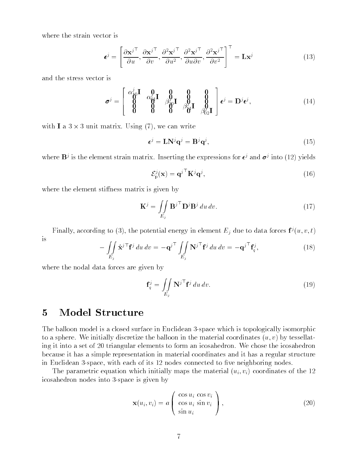where the strain vector is

$$
\boldsymbol{\epsilon}^{j} = \left[ \frac{\partial \mathbf{x}^{j\top}}{\partial u}, \frac{\partial \mathbf{x}^{j\top}}{\partial v}, \frac{\partial^{2} \mathbf{x}^{j\top}}{\partial u^{2}}, \frac{\partial^{2} \mathbf{x}^{j\top}}{\partial u \partial v}, \frac{\partial^{2} \mathbf{x}^{j\top}}{\partial v^{2}} \right]^{T} = \mathbf{L} \mathbf{x}^{j}
$$
(13)

and the stress vector is

$$
\boldsymbol{\sigma}^{j} = \begin{bmatrix} \alpha_{\boldsymbol{\theta}}^{j} \mathbf{I} & \boldsymbol{\theta} & \mathbf{I} & \mathbf{I} & \mathbf{I} & \mathbf{I} \\ \mathbf{I} & \mathbf{I} & \alpha_{\boldsymbol{\theta}}^{j} \mathbf{I} & \beta_{\boldsymbol{\theta}}^{j} \mathbf{I} & \mathbf{I} & \mathbf{I} \\ \mathbf{I} & \mathbf{I} & \mathbf{I} & \beta_{\boldsymbol{\theta}}^{j} \mathbf{I} & \beta_{\boldsymbol{\theta}}^{j} \mathbf{I} & \beta_{\boldsymbol{\theta}}^{j} \mathbf{I} \end{bmatrix} \boldsymbol{\epsilon}^{j} = \mathbf{D}^{j} \boldsymbol{\epsilon}^{j},
$$
(14)

with  $\mathbf{r}$  and  $\mathbf{r}$  and  $\mathbf{r}$  and  $\mathbf{r}$  and  $\mathbf{r}$  with  $\mathbf{r}$  and  $\mathbf{r}$  with  $\mathbf{r}$ 

$$
\epsilon^{j} = \mathbf{LN}^{j} \mathbf{q}^{j} = \mathbf{B}^{j} \mathbf{q}^{j},\tag{15}
$$

where  $\mathbf{D}^s$  is the element strain matrix. This ruling the expressions for  $\epsilon^s$  and  $\sigma^s$  into (12) yields

$$
\mathcal{E}_{\mathbf{p}}^{j}(\mathbf{x}) = \mathbf{q}^{j\top} \mathbf{K}^{j} \mathbf{q}^{j},\tag{16}
$$

where the element stiffness matrix is given by

$$
\mathbf{K}^{j} = \iint_{E_{j}} \mathbf{B}^{j \top} \mathbf{D}^{j} \mathbf{B}^{j} du dv.
$$
 (17)

Finally, according to (5), the potential energy in element  $E_j$  due to data forces  $\Gamma'(u,v,t)$ is  $\overline{P}$   $\overline{P}$  $\mathcal{L}$   $\mathcal{L}$ 

$$
-\iint\limits_{E_j} \hat{\mathbf{x}}^{j\top} \mathbf{f}^j du dv = -\mathbf{q}^{j\top} \iint\limits_{E_j} \mathbf{N}^{j\top} \mathbf{f}^j du dv = -\mathbf{q}^{j\top} \mathbf{f}_q^j,
$$
(18)

where the nodal data forces are given by

$$
\mathbf{f}_q^j = \iint\limits_{E_j} \mathbf{N}^{j\top} \mathbf{f}^j \, du \, dv. \tag{19}
$$

#### $\overline{5}$ **Model Structure**

The balloon model is a closed surface in Euclidean 3-space which is topologically isomorphic to a sphere. We initially discretize the balloon in the material coordinates  $(u, v)$  by tessellating it into a set of 20 triangular elements to form an icosahedron. We chose the icosahedron because it has a simple representation in material coordinates and it has a regular structure in Euclidean 3-space, with each of its 12 nodes connected to five neighboring nodes.

The parametric equation which initially maps the material  $(u_i, v_i)$  coordinates of the 12 icosahedron nodes into 3-space is given by

$$
\mathbf{x}(u_i, v_i) = a \begin{pmatrix} \cos u_i & \cos v_i \\ \cos u_i & \sin v_i \\ \sin u_i \end{pmatrix},
$$
 (20)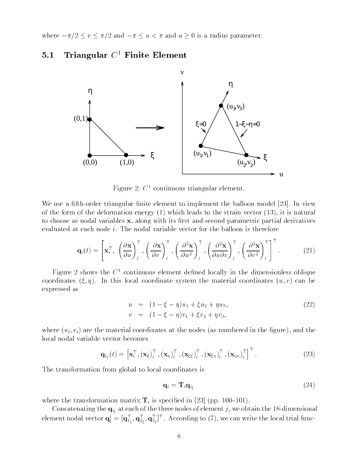where  $-\pi/2 \le v \le \pi/2$  and  $-\pi \le u < \pi$  and  $a \ge 0$  is a radius parameter.

#### 5.1Triangular  $C^1$  Finite Element



Figure 2:  $C^1$  continuous triangular element.

We use a fifth-order triangular finite element to implement the balloon model  $[23]$ . In view of the form of the deformation energy  $(1)$  which leads to the strain vector  $(13)$ , it is natural to choose as nodal variables  $x$ , along with its first and second parametric partial derivatives evaluated at each node i. The nodal variable vector for the balloon is therefore

$$
\mathbf{q}_{i}(t) = \left[\mathbf{x}_{i}^{\top}, \, \left(\frac{\partial \mathbf{x}}{\partial u}\right)_{i}^{\top}, \left(\frac{\partial \mathbf{x}}{\partial v}\right)_{i}^{\top}, \left(\frac{\partial^{2} \mathbf{x}}{\partial u^{2}}\right)_{i}^{\top}, \left(\frac{\partial^{2} \mathbf{x}}{\partial u \partial v}\right)_{i}^{\top}, \left(\frac{\partial^{2} \mathbf{x}}{\partial v^{2}}\right)_{i}^{\top}\right]^{T}.
$$
 (21)

Figure 2 shows the  $C<sup>1</sup>$  continuous element defined locally in the dimensionless oblique coordinates  $(\xi, \eta)$ . In this local coordinate system the material coordinates  $(u, v)$  can be expressed as

$$
u = (1 - \xi - \eta)u_1 + \xi u_2 + \eta u_3,
$$
  
\n
$$
v = (1 - \xi - \eta)v_1 + \xi v_2 + \eta v_3,
$$
\n(22)

where  $(u_i, v_i)$  are the material coordinates at the nodes (as numbered in the figure), and the local nodal variable vector becomes

$$
\mathbf{q}_{i_{\xi}}(t) = \left[\mathbf{x}_{i}^{\top}, (\mathbf{x}_{\xi})_{i}^{\top}, (\mathbf{x}_{\eta})_{i}^{\top}, (\mathbf{x}_{\xi\xi})_{i}^{\top}, (\mathbf{x}_{\xi\eta})_{i}^{\top}, (\mathbf{x}_{\eta\eta})_{i}^{\top}\right]^{T}.
$$
 (23)

The transformation from global to local coordinates is

$$
\mathbf{q}_i = \mathbf{T}_i \mathbf{q}_{i_\xi} \tag{24}
$$

where the transformation matrix  $\mathbf{T}_i$  is specified in [23] (pp. 100-101).

Concatenating the  $\mathbf{q}_{i_{\xi}}$  at each of the three nodes of element j, we obtain the 18-dimensional element nodal vector  $\mathbf{q}_{\xi}^* = [\mathbf{q}_{1_\ell}^*,\mathbf{q}_{2_\ell}^*,\mathbf{q}_{3_\ell}^*]$  . According to (7), we can write the local trial func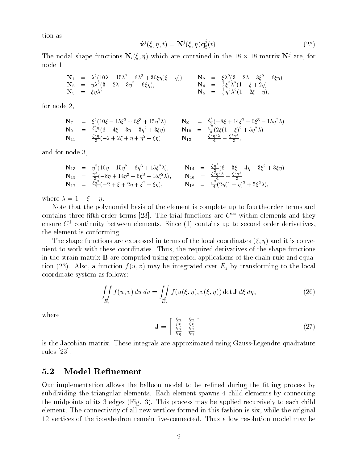tion as

$$
\hat{\mathbf{x}}^{j}(\xi,\eta,t) = \mathbf{N}^{j}(\xi,\eta)\mathbf{q}_{\xi}^{j}(t).
$$
\n(25)

The hodal shape functions  $N_i(\zeta, \eta)$  which are contained in the 18  $\times$  18 matrix  $N'$  are, for node 1

$$
\begin{array}{rcl}\n\mathbf{N}_1 & = & \lambda^2 (10\lambda - 15\lambda^2 + 6\lambda^3 + 30\xi\eta(\xi + \eta)), & \mathbf{N}_2 & = & \xi\lambda^2 (3 - 2\lambda - 3\xi^2 + 6\xi\eta) \\
\mathbf{N}_3 & = & \eta\lambda^2 (3 - 2\lambda - 3\eta^2 + 6\xi\eta), & \mathbf{N}_4 & = & \frac{1}{2}\xi^2 \lambda^2 (1 - \xi + 2\eta) \\
\mathbf{N}_5 & = & \xi\eta\lambda^2, & \mathbf{N}_6 & = & \frac{1}{2}\eta^2 \lambda^2 (1 + 2\xi - \eta),\n\end{array}
$$

for node 2,

$$
\begin{array}{rcl}\n\mathbf{N}_7 & = & \xi^2 (10\xi - 15\xi^2 + 6\xi^3 + 15\eta^2\lambda), \\
\mathbf{N}_9 & = & \frac{\xi^2 \eta}{2} (6 - 4\xi - 3\eta - 3\eta^2 + 3\xi\eta), \\
\mathbf{N}_{10} & = & \frac{\xi^2 \eta}{4} (2\xi (1 - \xi)^2 + 5\eta^2\lambda) \\
\mathbf{N}_{11} & = & \frac{\xi^2 \eta}{2} (-2 + 2\xi + \eta + \eta^2 - \xi\eta), \\
\mathbf{N}_{12} & = & \frac{\xi^2 \eta^2 \lambda}{4} + \frac{\xi^3 \eta^2}{2},\n\end{array}
$$

and for node 3,

$$
\begin{array}{rcl}\n\mathbf{N}_{13} & = & \eta^2 (10\eta - 15\eta^2 + 6\eta^3 + 15\xi^2 \lambda), \\
\mathbf{N}_{14} & = & \frac{\xi \eta^2}{2} (6 - 3\xi - 4\eta - 3\xi^2 + 3\xi \eta) \\
\mathbf{N}_{15} & = & \frac{\eta^2}{2} (-8\eta + 14\eta^2 - 6\eta^3 - 15\xi^2 \lambda), \\
\mathbf{N}_{16} & = & \frac{\xi^2 \eta^2}{4} + \frac{\xi^2 \eta^3}{2} \\
\mathbf{N}_{17} & = & \frac{\xi \eta^2}{2} (-2 + \xi + 2\eta + \xi^2 - \xi \eta), \\
\mathbf{N}_{18} & = & \frac{\eta^2}{4} (2\eta (1 - \eta)^2 + 5\xi^2 \lambda),\n\end{array}
$$

where  $\lambda = 1 - \xi - \eta$ .

Note that the polynomial basis of the element is complete up to fourth-order terms and contains three fitth-order terms  $[23]$ . The trial functions are  $C^{\pm}$  within elements and they ensure  $C<sup>1</sup>$  continuity between elements. Since (1) contains up to second order derivatives. the element is conforming.

The shape functions are expressed in terms of the local coordinates  $(\xi, \eta)$  and it is convenient to work with these coordinates. Thus, the required derivatives of the shape functions in the strain matrix  $\bf{B}$  are computed using repeated applications of the chain rule and equation (23). Also, a function  $f(u, v)$  may be integrated over  $E_j$  by transforming to the local coordinate system as follows:

$$
\iint\limits_{E_j} f(u, v) du dv = \iint\limits_{E_j} f(u(\xi, \eta), v(\xi, \eta)) \det \mathbf{J} d\xi d\eta,
$$
\n(26)

where

$$
\mathbf{J} = \begin{bmatrix} \frac{\partial u}{\partial \xi} & \frac{\partial v}{\partial \xi} \\ \frac{\partial u}{\partial \eta} & \frac{\partial v}{\partial \eta} \end{bmatrix}
$$
 (27)

is the Jacobian matrix. These integrals are approximated using Gauss-Legendre quadrature rules [23].

#### 5.2Model Renement

Our implementation allows the balloon model to be refined during the fitting process by subdividing the triangular elements. Each element spawns 4 child elements by connecting the midpoints of its 3 edges (Fig. 3). This process may be applied recursively to each child element. The connectivity of all new vertices formed in this fashion is six, while the original 12 vertices of the icosahedron remain five-connected. Thus a low resolution model may be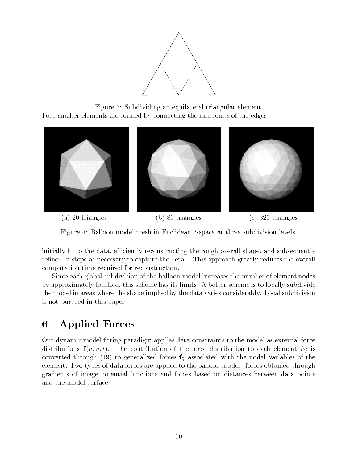

Figure 3: Subdividing an equilateral triangular element. Four smaller elements are formed by connecting the midpoints of the edges.



Figure 4: Balloon model mesh in Euclidean 3-space at three subdivision levels.

initially fit to the data, efficiently reconstructing the rough overall shape, and subsequently refined in steps as necessary to capture the detail. This approach greatly reduces the overall computation time required for reconstruction.

Since each global subdivision of the balloon model increases the number of element nodes by approximately fourfold, this scheme has its limits. A better scheme is to locally subdivide the model in areas where the shape implied by the data varies considerably. Local subdivision is not pursued in this paper.

# 6 Applied Forces

Our dynamic model fitting paradigm applies data constraints to the model as external force distributions  $f(u, v, t)$ . The contribution of the force distribution to each element  $E_j$  is converted through (19) to generalized forces  $\mathbf{r}_a^*$  associated with the nodal variables of the element. Two types of data forces are applied to the balloon model-forces obtained through gradients of image potential functions and forces based on distances between data points and the model surface.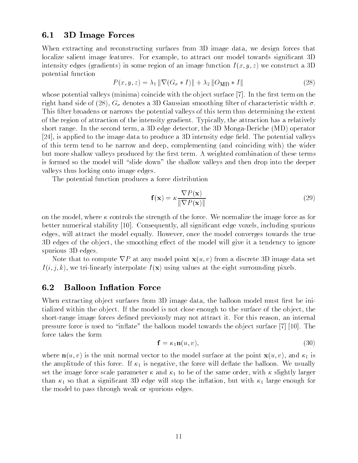#### 6.13D Image Forces

When extracting and reconstructing surfaces from 3D image data, we design forces that localize salient image features. For example, to attract our model towards significant 3D intensity edges (gradients) in some region of an image function  $I(x, y, z)$  we construct a 3D potential function

$$
P(x, y, z) = \lambda_1 \left\| \nabla (G_\sigma * I) \right\| + \lambda_2 \left\| O_{\text{MD}} * I \right\| \tag{28}
$$

whose potential valleys (minima) coincide with the object surface  $[7]$ . In the first term on the right hand side of (28),  $G_{\sigma}$  denotes a 3D Gaussian smoothing filter of characteristic width  $\sigma$ . This filter broadens or narrows the potential valleys of this term thus determining the extent of the region of attraction of the intensity gradient. Typically, the attraction has a relatively short range. In the second term, a 3D edge detector, the 3D Monga-Deriche (MD) operator  $[24]$ , is applied to the image data to produce a 3D intensity edge field. The potential valleys of this term tend to be narrow and deep, complementing (and coinciding with) the wider but more shallow valleys produced by the first term. A weighted combination of these terms is formed so the model will "slide down" the shallow valleys and then drop into the deeper valleys thus locking onto image edges.

The potential function produces a force distribution

$$
\mathbf{f}(\mathbf{x}) = \kappa \frac{\nabla P(\mathbf{x})}{\|\nabla P(\mathbf{x})\|}
$$
 (29)

on the model, where  $\kappa$  controls the strength of the force. We normalize the image force as for better numerical stability [10]. Consequently, all signicant edge voxels, including spurious edges, will attract the model equally. However, once the model converges towards the true 3D edges of the object, the smoothing effect of the model will give it a tendency to ignore spurious 3D edges.

Note that to compute  $\nabla P$  at any model point  $\mathbf{x}(u, v)$  from a discrete 3D image data set  $I(i, j, k)$ , we tri-linearly interpolate  $I(\mathbf{x})$  using values at the eight surrounding pixels.

#### 6.2Balloon In
ation Force

When extracting object surfaces from  $3D$  image data, the balloon model must first be initialized within the ob ject. If the model is not close enough to the surface of the ob ject, the short-range image forces defined previously may not attract it. For this reason, an internal pressure force is used to "inflate" the balloon model towards the object surface [7] [10]. The force takes the form

$$
\mathbf{f} = \kappa_1 \mathbf{n}(u, v),\tag{30}
$$

where  $\mathbf{n}(u, v)$  is the unit normal vector to the model surface at the point  $\mathbf{x}(u, v)$ , and  $\kappa_1$  is the amplitude of this force. If  $\kappa_1$  is negative, the force will deflate the balloon. We usually set the image force scale parameter  $\kappa$  and  $\kappa_1$  to be of the same order, with  $\kappa$  slightly larger than  $\kappa_1$  so that a significant 3D edge will stop the inflation, but with  $\kappa_1$  large enough for the model to pass through weak or spurious edges.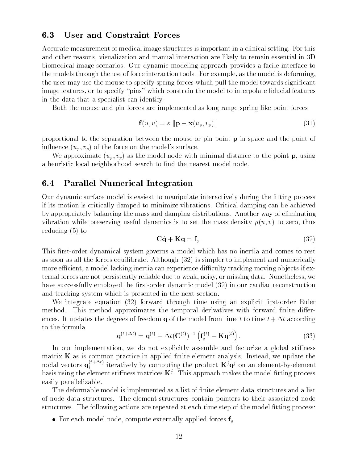#### 6.3User and Constraint Forces

Accurate measurement of medical image structures is important in a clinical setting. For this and other reasons, visualization and manual interaction are likely to remain essential in 3D biomedical image scenarios. Our dynamic modeling approach provides a facile interface to the models through the use of force interaction tools. For example, as the model is deforming, the user may use the mouse to specify spring forces which pull the model towards signicant image features, or to specify "pins" which constrain the model to interpolate fiducial features in the data that a specialist can identify.

Both the mouse and pin forces are implemented as long-range spring-like point forces

$$
\mathbf{f}(u,v) = \kappa \left\| \mathbf{p} - \mathbf{x}(u_p, v_p) \right\| \tag{31}
$$

proportional to the separation between the mouse or pin point <sup>p</sup> in space and the point of influence  $(u_p, v_p)$  of the force on the model's surface.

We approximate  $(u_p, v_p)$  as the model node with minimal distance to the point **p**, using a heuristic local neighborhood search to find the nearest model node.

#### 6.4Parallel Numerical Integration

Our dynamic surface model is easiest to manipulate interactively during the fitting process if its motion is critically damped to minimize vibrations. Critical damping can be achieved by appropriately balancing the mass and damping distributions. Another way of eliminating vibration while preserving useful dynamics is to set the mass density  $\mu(u, v)$  to zero, thus reducing (5) to

$$
C\dot{q} + Kq = f_q. \tag{32}
$$

This first-order dynamical system governs a model which has no inertia and comes to rest as soon as all the forces equilibrate. Although (32) is simpler to implement and numerically more efficient, a model lacking inertia can experience difficulty tracking moving objects if external forces are not persistently reliable due to weak, noisy, or missing data. Nonetheless, we have successfully employed the first-order dynamic model (32) in our cardiac reconstruction and tracking system which is presented in the next section.

We integrate equation (32) forward through time using an explicit first-order Euler method. This method approximates the temporal derivatives with forward finite differences. It updates the degrees of freedom q of the model from time t to time  $t + \Delta t$  according to the formula

$$
\mathbf{q}^{(t+\Delta t)} = \mathbf{q}^{(t)} + \Delta t (\mathbf{C}^{(t)})^{-1} \left( \mathbf{f}_q^{(t)} - \mathbf{K} \mathbf{q}^{(t)} \right). \tag{33}
$$

In our implementation, we do not explicitly assemble and factorize a global stiffness matrix  $K$  as is common practice in applied finite element analysis. Instead, we update the nodal vectors  $\mathbf{q}_i^{\cdots}$  iteratively by computing the product  $\mathbf{K}^j\mathbf{q}^j$  on an element-by-element basis using the element stimess matrices  $\mathbf{R}^s$ . This approach makes the model niting process easily parallelizable.

The deformable model is implemented as a list of finite element data structures and a list of node data structures. The element structures contain pointers to their associated node structures. The following actions are repeated at each time step of the model fitting process:

• For each model node, compute externally applied forces  $f_q$ .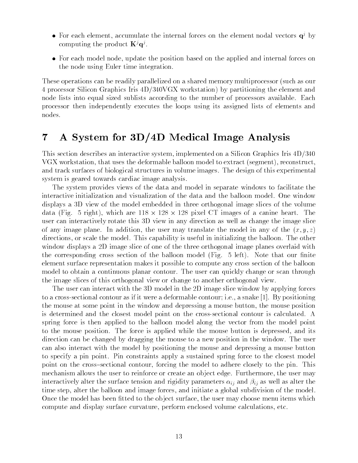- For each element, accumulate the internal forces on the element nodal vectors  $q<sup>j</sup>$  by computing the product  ${\bf K}^{\flat}{\bf q}^{\flat}$  .
- For each model node, update the position based on the applied and internal forces on the node using Euler time integration.

These operations can be readily parallelized on a shared memory multiprocessor (such as our 4 processor Silicon Graphics Iris 4D/340VGX workstation) by partitioning the element and node lists into equal sized sublists according to the number of processors available. Each processor then independently executes the loops using its assigned lists of elements and nodes.

## 7 A System for 3D/4D Medical Image Analysis

This section describes an interactive system, implemented on a Silicon Graphics Iris 4D/340 VGX workstation, that uses the deformable balloon model to extract (segment), reconstruct, and track surfaces of biological structures in volume images. The design of this experimental system is geared towards cardiac image analysis.

The system provides views of the data and model in separate windows to facilitate the interactive initialization and visualization of the data and the balloon model. One window displays a 3D view of the model embedded in three orthogonal image slices of the volume data (Fig. 5 right), which are 118 - 128 118 - 128 pixel companies of a canine heart. The user can interactively rotate this 3D view in any direction as well as change the image slice of any image plane. In addition, the user may translate the model in any of the  $(x, y, z)$ directions, or scale the model. This capability is useful in initializing the balloon. The other window displays a 2D image slice of one of the three orthogonal image planes overlaid with the corresponding cross section of the balloon model (Fig.  $5$  left). Note that our finite element surface representation makes it possible to compute any cross section of the balloon model to obtain a continuous planar contour. The user can quickly change or scan through the image slices of this orthogonal view or change to another orthogonal view.

The user can interact with the 3D model in the 2D image slice window by applying forces to a cross-sectional contour as if it were a deformable contour; i.e., a snake [1]. By positioning the mouse at some point in the window and depressing a mouse button, the mouse position is determined and the closest model point on the cross-sectional contour is calculated. A spring force is then applied to the balloon model along the vector from the model point to the mouse position. The force is applied while the mouse button is depressed, and its direction can be changed by dragging the mouse to a new position in the window. The user can also interact with the model by positioning the mouse and depressing a mouse button to specify a pin point. Pin constraints apply a sustained spring force to the closest model point on the cross-sectional contour, forcing the model to adhere closely to the pin. This mechanism allows the user to reinforce or create an ob ject edge. Furthermore, the user may interactively alter the surface tension and rigidity parameters  $\alpha_{ij}$  and  $\beta_{ij}$  as well as alter the time step, alter the balloon and image forces, and initiate a global subdivision of the model. Once the model has been fitted to the object surface, the user may choose menu items which compute and display surface curvature, perform enclosed volume calculations, etc.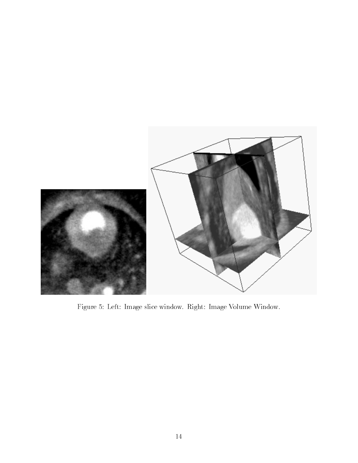

Figure 5: Left: Image slice window. Right: Image Volume Window.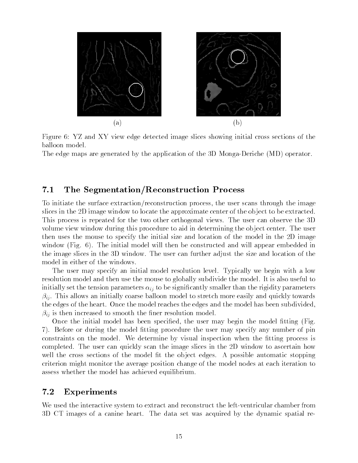

Figure 6: YZ and XY view edge detected image slices showing initial cross sections of the balloon model.

The edge maps are generated by the application of the 3D Monga-Deriche (MD) operator.

#### 7.1The Segmentation/Reconstruction Process

To initiate the surface extraction/reconstruction process, the user scans through the image slices in the 2D image window to locate the approximate center of the object to be extracted. This process is repeated for the two other orthogonal views. The user can observe the 3D volume view window during this procedure to aid in determining the ob ject center. The user then uses the mouse to specify the initial size and location of the model in the 2D image window (Fig. 6). The initial model will then be constructed and will appear embedded in the image slices in the 3D window. The user can further adjust the size and location of the model in either of the windows.

The user may specify an initial model resolution level. Typically we begin with a low resolution model and then use the mouse to globally subdivide the model. It is also useful to initially set the tension parameters  $\alpha_{ij}$  to be significantly smaller than the rigidity parameters  $\beta_{ij}$ . This allows an initially coarse balloon model to stretch more easily and quickly towards the edges of the heart. Once the model reaches the edges and the model has been subdivided,  $\beta_{ij}$  is then increased to smooth the finer resolution model.

Once the initial model has been specified, the user may begin the model fitting (Fig. 7). Before or during the model fitting procedure the user may specify any number of pin constraints on the model. We determine by visual inspection when the fitting process is completed. The user can quickly scan the image slices in the 2D window to ascertain how well the cross sections of the model fit the object edges. A possible automatic stopping criterion might monitor the average position change of the model nodes at each iteration to assess whether the model has achieved equilibrium.

#### 7.2Experiments

We used the interactive system to extract and reconstruct the left-ventricular chamber from 3D CT images of a canine heart. The data set was acquired by the dynamic spatial re-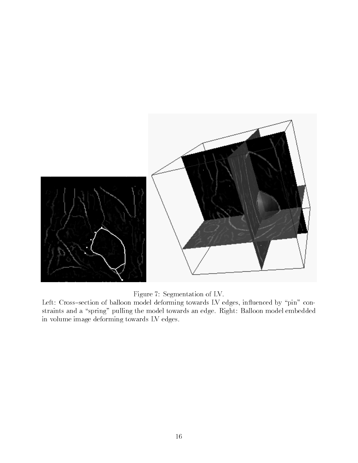



Left: Cross-section of balloon model deforming towards LV edges, influenced by "pin" constraints and a "spring" pulling the model towards an edge. Right: Balloon model embedded in volume image deforming towards LV edges.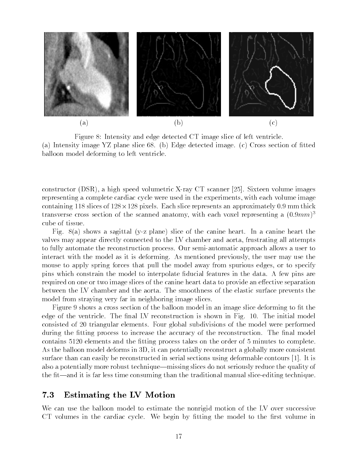

Figure 8: Intensity and edge detected CT image slice of left ventricle. (a) Intensity image YZ plane slice  $68.$  (b) Edge detected image. (c) Cross section of fitted balloon model deforming to left ventricle.

constructor (DSR), a high speed volumetric X-ray CT scanner [25]. Sixteen volume images representing a complete cardiac cycle were used in the experiments, with each volume image containing to the state of the contract pixels. Each slice represents and spectrum the contract contract the c transverse cross section of the scanned anatomy, with each voxel representing a (0.9mm)<sup>-</sup> cube of tissue.

Fig. 8(a) shows a sagittal (y-z plane) slice of the canine heart. In a canine heart the valves may appear directly connected to the LV chamber and aorta, frustrating all attempts to fully automate the reconstruction process. Our semi-automatic approach allows a user to interact with the model as it is deforming. As mentioned previously, the user may use the mouse to apply spring forces that pull the model away from spurious edges, or to specify pins which constrain the model to interpolate ducial features in the data. A few pins are required on one or two image slices of the canine heart data to provide an effective separation between the LV chamber and the aorta. The smoothness of the elastic surface prevents the model from straying very far in neighboring image slices.

Figure 9 shows a cross section of the balloon model in an image slice deforming to fit the edge of the ventricle. The final LV reconstruction is shown in Fig. 10. The initial model consisted of 20 triangular elements. Four global subdivisions of the model were performed during the fitting process to increase the accuracy of the reconstruction. The final model contains 5120 elements and the fitting process takes on the order of 5 minutes to complete. As the balloon model deforms in 3D, it can potentially reconstruct a globally more consistent surface than can easily be reconstructed in serial sections using deformable contours [1]. It is also a potentially more robust technique—missing slices do not seriously reduce the quality of the fit—and it is far less time consuming than the traditional manual slice-editing technique.

#### 7.3Estimating the LV Motion

We can use the balloon model to estimate the nonrigid motion of the LV over successive CT volumes in the cardiac cycle. We begin by fitting the model to the first volume in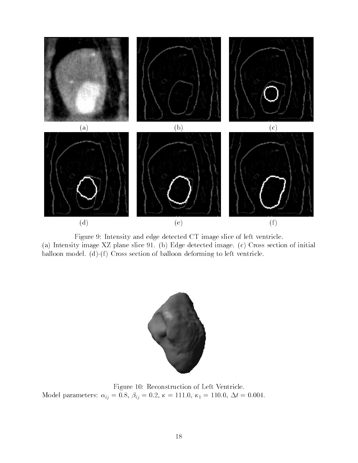

Figure 9: Intensity and edge detected CT image slice of left ventricle. (a) Intensity image XZ plane slice 91. (b) Edge detected image. (c) Cross section of initial balloon model. (d)-(f) Cross section of balloon deforming to left ventricle.



Figure 10: Reconstruction of Left Ventricle. Model parameters:  $\alpha_{ij} = 0.8, \beta_{ij} = 0.2, \kappa = 111.0, \kappa_1 = 110.0, \Delta t = 0.004.$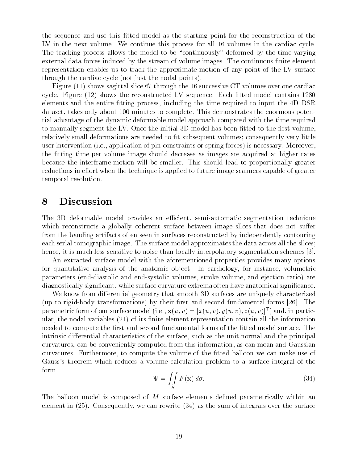the sequence and use this fitted model as the starting point for the reconstruction of the LV in the next volume. We continue this process for all 16 volumes in the cardiac cycle. The tracking process allows the model to be "continuously" deformed by the time-varying external data forces induced by the stream of volume images. The continuous finite element representation enables us to track the approximate motion of any point of the LV surface through the cardiac cycle (not just the nodal points).

Figure (11) shows sagittal slice 67 through the 16 successive CT volumes over one cardiac cycle. Figure  $(12)$  shows the reconstructed LV sequence. Each fitted model contains  $1280$ elements and the entire fitting process, including the time required to input the 4D DSR dataset, takes only about 100 minutes to complete. This demonstrates the enormous potential advantage of the dynamic deformable model approach compared with the time required to manually segment the LV. Once the initial 3D model has been fitted to the first volume. relatively small deformations are needed to fit subsequent volumes; consequently very little user intervention (i.e., application of pin constraints or spring forces) is necessary. Moreover, the fitting time per volume image should decrease as images are acquired at higher rates because the interframe motion will be smaller. This should lead to proportionally greater reductions in effort when the technique is applied to future image scanners capable of greater temporal resolution.

#### **Discussion** 8

The 3D deformable model provides an efficient, semi-automatic segmentation technique which reconstructs a globally coherent surface between image slices that does not suffer from the banding artifacts often seen in surfaces reconstructed by independently contouring each serial tomographic image. The surface model approximates the data across all the slices; hence, it is much less sensitive to noise than locally interpolatory segmentation schemes [3].

An extracted surface model with the aforementioned properties provides many options for quantitative analysis of the anatomic ob ject. In cardiology, for instance, volumetric parameters (end-diastolic and end-systolic volumes, stroke volume, and ejection ratio) are diagnostically significant, while surface curvature extrema often have anatomical significance.

We know from differential geometry that smooth 3D surfaces are uniquely characterized (up to rigid-body transformations) by their first and second fundamental forms [26]. The parametric form of our surface model (i.e.,  $\mathbf{x}(u,v)=\left[x(u,v), y(u,v), z(u,v)\right]$  ) and, in particular, the nodal variables  $(21)$  of its finite element representation contain all the information needed to compute the first and second fundamental forms of the fitted model surface. The intrinsic differential characteristics of the surface, such as the unit normal and the principal curvatures, can be conveniently computed from this information, as can mean and Gaussian curvatures. Furthermore, to compute the volume of the fitted balloon we can make use of Gauss's theorem which reduces a volume calculation problem to a surface integral of the form

$$
\Psi = \iint_{S} F(\mathbf{x}) \, d\sigma. \tag{34}
$$

The balloon model is composed of  $M$  surface elements defined parametrically within an element in (25). Consequently, we can rewrite (34) as the sum of integrals over the surface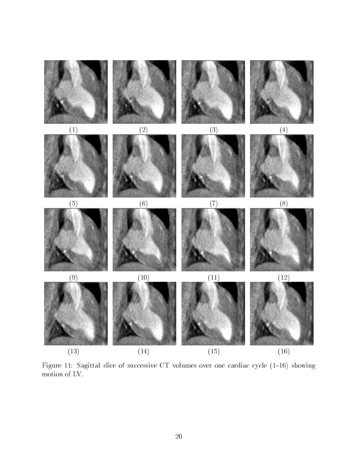

Figure 11: Sagittal slice of successive CT volumes over one cardiac cycle  $(1-16)$  showing motion of LV.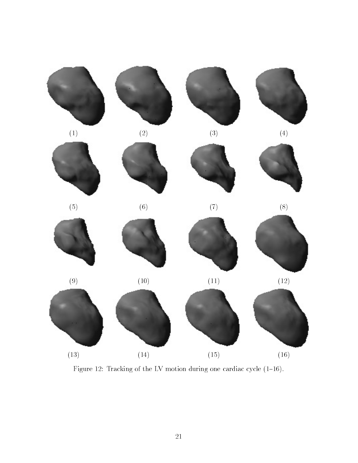

Figure 12: Tracking of the LV motion during one cardiac cycle  $(1-16)$ .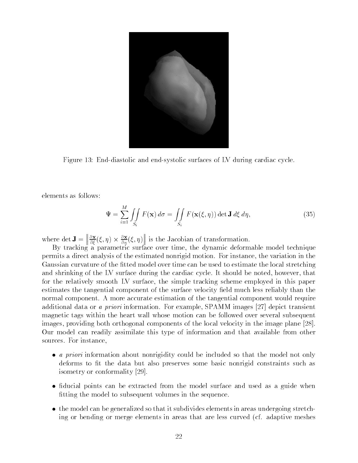

Figure 13: End-diastolic and end-systolic surfaces of LV during cardiac cycle.

elements as follows:

$$
\Psi = \sum_{i=1}^{M} \iint_{S_i} F(\mathbf{x}) d\sigma = \iint_{S_i} F(\mathbf{x}(\xi, \eta)) \det \mathbf{J} d\xi d\eta,
$$
\n(35)

where det <sup>J</sup> =  $\left\|\frac{\partial \mathbf{x}}{\partial \xi}(\xi,\eta) \times \frac{\partial \mathbf{x}}{\partial \eta}(\xi,\eta)\right\|$  is the Jacobian of transformation.

By tracking a parametric surface over time, the dynamic deformable model technique permits a direct analysis of the estimated nonrigid motion. For instance, the variation in the Gaussian curvature of the fitted model over time can be used to estimate the local stretching and shrinking of the LV surface during the cardiac cycle. It should be noted, however, that for the relatively smooth LV surface, the simple tracking scheme employed in this paper estimates the tangential component of the surface velocity field much less reliably than the normal component. A more accurate estimation of the tangential component would require additional data or <sup>a</sup> priori information. For example, SPAMM images [27] depict transient magnetic tags within the heart wall whose motion can be followed over several subsequent images, providing both orthogonal components of the local velocity in the image plane [28]. Our model can readily assimilate this type of information and that available from other sources. For instance,

- *a priori* information about nonrigidity could be included so that the model not only deforms to fit the data but also preserves some basic nonrigid constraints such as isometry or conformality [29].
- fiducial points can be extracted from the model surface and used as a guide when tting the model to subsequent volumes in the sequence.
- the model can be generalized so that it subdivides elements in areas undergoing stretching or bending or merge elements in areas that are less curved (cf. adaptive meshes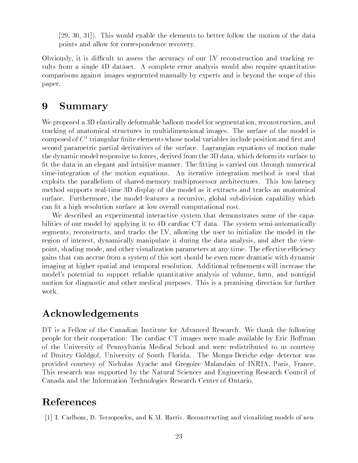[29, 30, 31]). This would enable the elements to better follow the motion of the data points and allow for correspondence recovery.

Obviously, it is difficult to assess the accuracy of our LV reconstruction and tracking results from a single 4D dataset. A complete error analysis would also require quantitative comparisons against images segmented manually by experts and is beyond the scope of this paper.

### 9 **Summary**

We proposed a 3D elastically deformable balloon model for segmentation, reconstruction, and tracking of anatomical structures in multidimensional images. The surface of the model is composed of  $C<sup>1</sup>$  triangular finite elements whose nodal variables include position and first and second parametric partial derivatives of the surface. Lagrangian equations of motion make the dynamic model responsive to forces, derived from the 3D data, which deform its surface to fit the data in an elegant and intuitive manner. The fitting is carried out through numerical time-integration of the motion equations. An iterative integration method is used that exploits the parallelism of shared-memory multiprocessor architectures. This low-latency method supports real-time 3D display of the model as it extracts and tracks an anatomical surface. Furthermore, the model features a recursive, global subdivision capability which can fit a high resolution surface at low overall computational cost.

We described an experimental interactive system that demonstrates some of the capabilities of our model by applying it to 4D cardiac CT data. The system semi-automatically segments, reconstructs, and tracks the LV, allowing the user to initialize the model in the region of interest, dynamically manipulate it during the data analysis, and alter the viewpoint, shading mode, and other visualization parameters at any time. The effective efficiency gains that can accrue from a system of this sort should be even more dramatic with dynamic imaging at higher spatial and temporal resolution. Additional refinements will increase the model's potential to support reliable quantitative analysis of volume, form, and nonrigid motion for diagnostic and other medical purposes. This is a promising direction for further work.

# Acknowledgements

DT is a Fellow of the Canadian Institute for Advanced Research. We thank the following people for their cooperation: The cardiac CT images were made available by Eric Homan of the University of Pennsylvania Medical School and were redistributed to us courtesy of Dmitry Goldgof, University of South Florida. The Monga-Deriche edge detector was provided courtesy of Nicholas Ayache and Gregoire Malandain of INRIA, Paris, France. This research was supported by the Natural Sciences and Engineering Research Council of Canada and the Information Technologies Research Center of Ontario.

# References

[1] I. Carlbom, D. Terzopoulos, and K.M. Harris. Reconstructing and visualizing models of neu-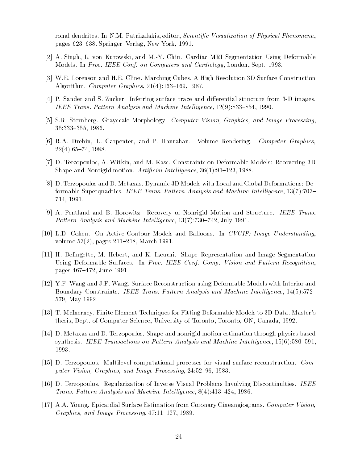ronal dendrites. In N.M. Patrikalakis, editor, Scientific Visualization of Physical Phenomena, pages 623–638. Springer–Verlag, New York, 1991.

- [2] A. Singh, L. von Kurowski, and M.-Y. Chiu. Cardiac MRI Segmentation Using Deformable Models. In Proc. IEEE Conf. on Computers and Cardiology, London, Sept. 1993.
- [3] W.E. Lorenson and H.E. Cline. Marching Cubes, A High Resolution 3D Surface Construction Algorithm. Computer Graphics,  $21(4):163-169$ , 1987.
- [4] P. Sander and S. Zucker. Inferring surface trace and differential structure from 3-D images. IEEE Trans. Pattern Analysis and Machine Intelligence,  $12(9)$ :833-854, 1990.
- [5] S.R. Sternberg. Grayscale Morphology. Computer Vision, Graphics, and Image Processing, 35:333-355, 1986.
- [6] R.A. Drebin, L. Carpenter, and P. Hanrahan. Volume Rendering. Computer Graphics,  $22(4):65{-}74, 1988.$
- [7] D. Terzopoulos, A. Witkin, and M. Kass. Constraints on Deformable Models: Recovering 3D Shape and Nonrigid motion. Artificial Intelligence,  $36(1):91-123$ , 1988.
- [8] D. Terzopoulos and D. Metaxas. Dynamic 3D Models with Local and Global Deformations: Deformable Superquadrics. IEEE Trans. Pattern Analysis and Machine Intelligence,  $13(7)$ :703– 714, 1991.
- [9] A. Pentland and B. Horowitz. Recovery of Nonrigid Motion and Structure. IEEE Trans. Pattern Analysis and Machine Intelligence,  $13(7)$ :730-742, July 1991.
- [10] L.D. Cohen. On Active Contour Models and Balloons. In CVGIP: Image Understanding, volume  $53(2)$ , pages  $211–218$ , March 1991.
- [11] H. Delingette, M. Hebert, and K. Ikeuchi. Shape Representation and Image Segmentation Using Deformable Surfaces. In Proc. IEEE Conf. Comp. Vision and Pattern Recognition pages 467-472, June 1991.
- [12] Y.F. Wang and J.F. Wang. Surface Reconstruction using Deformable Models with Interior and Boundary Constraints. IEEE Trans. Pattern Analysis and Machine Intelligence, 14(5):572– 579, May 1992.
- [13] T. McInerney. Finite Element Techniques for Fitting Deformable Models to 3D Data. Master's thesis, Dept. of Computer Science, University of Toronto, Toronto, ON, Canada, 1992.
- [14] D. Metaxas and D. Terzopoulos. Shape and nonrigid motion estimation through physics-based synthesis. IEEE Transactions on Pattern Analysis and Machine Intelligence,  $15(6)$ :580–591, 1993.
- [15] D. Terzopoulos. Multilevel computational processes for visual surface reconstruction. Computer Vision, Graphics, and Image Processing,  $24.52{-}96$ , 1983.
- [16] D. Terzopoulos. Regularization of Inverse Visual Problems Involving Discontinuities. IEEE Trans. Pattern Analysis and Machine Intelligence, 8(4):413-424, 1986.
- [17] A.A. Young. Epicardial Surface Estimation from Coronary Cineangiograms. Computer Vision, Graphics, and Image Processing,  $47:11-127$ , 1989.